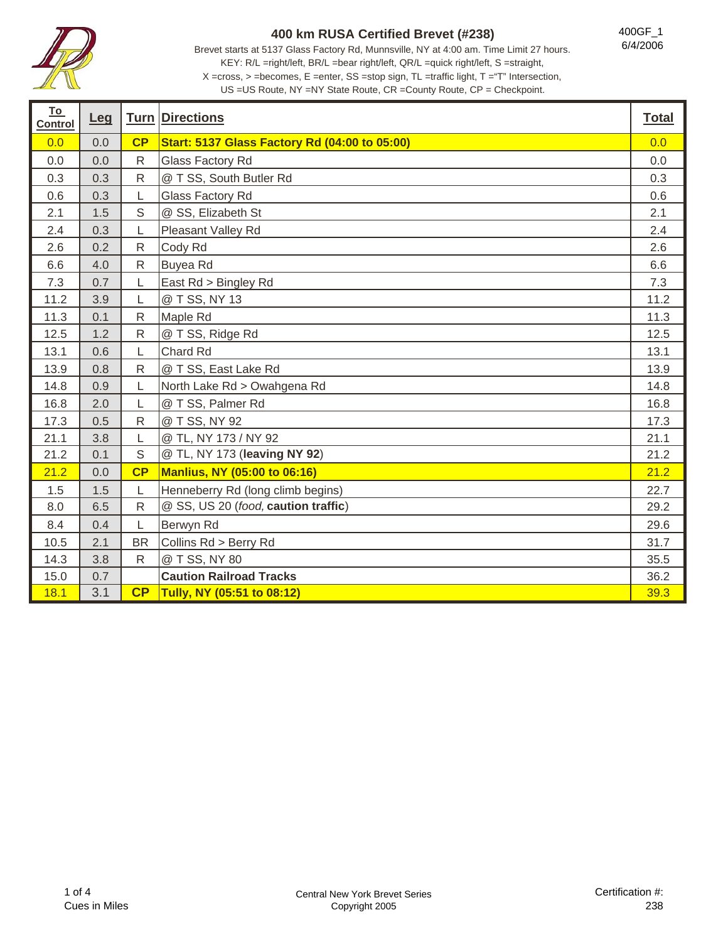

Brevet starts at 5137 Glass Factory Rd, Munnsville, NY at 4:00 am. Time Limit 27 hours. KEY: R/L =right/left, BR/L =bear right/left, QR/L =quick right/left, S =straight, X =cross, > =becomes, E =enter, SS =stop sign, TL =traffic light, T ="T" Intersection,

400GF\_1 6/4/2006

US =US Route, NY =NY State Route, CR =County Route, CP = Checkpoint.

| <u>To</u><br><b>Control</b> | Leg |              | <b>Turn Directions</b>                               | <b>Total</b> |
|-----------------------------|-----|--------------|------------------------------------------------------|--------------|
| 0.0                         | 0.0 | CP           | <b>Start: 5137 Glass Factory Rd (04:00 to 05:00)</b> | 0.0          |
| 0.0                         | 0.0 | $\mathsf{R}$ | Glass Factory Rd                                     | 0.0          |
| 0.3                         | 0.3 | ${\sf R}$    | @ T SS, South Butler Rd                              | 0.3          |
| 0.6                         | 0.3 | L            | Glass Factory Rd                                     | 0.6          |
| 2.1                         | 1.5 | $\mathsf S$  | @ SS, Elizabeth St                                   | 2.1          |
| 2.4                         | 0.3 | L            | Pleasant Valley Rd                                   | 2.4          |
| 2.6                         | 0.2 | $\mathsf{R}$ | Cody Rd                                              | 2.6          |
| 6.6                         | 4.0 | $\mathsf{R}$ | <b>Buyea Rd</b>                                      | 6.6          |
| 7.3                         | 0.7 | L            | East Rd > Bingley Rd                                 | 7.3          |
| 11.2                        | 3.9 | $\mathsf L$  | @ T SS, NY 13                                        | 11.2         |
| 11.3                        | 0.1 | ${\sf R}$    | Maple Rd                                             | 11.3         |
| 12.5                        | 1.2 | ${\sf R}$    | @ T SS, Ridge Rd                                     | 12.5         |
| 13.1                        | 0.6 | L            | Chard Rd                                             | 13.1         |
| 13.9                        | 0.8 | $\mathsf{R}$ | @ T SS, East Lake Rd                                 | 13.9         |
| 14.8                        | 0.9 | L            | North Lake Rd > Owahgena Rd                          | 14.8         |
| 16.8                        | 2.0 | L            | @ T SS, Palmer Rd                                    | 16.8         |
| 17.3                        | 0.5 | $\mathsf{R}$ | @ T SS, NY 92                                        | 17.3         |
| 21.1                        | 3.8 | L            | @ TL, NY 173 / NY 92                                 | 21.1         |
| 21.2                        | 0.1 | S            | @ TL, NY 173 (leaving NY 92)                         | 21.2         |
| 21.2                        | 0.0 | CP           | <b>Manlius, NY (05:00 to 06:16)</b>                  | 21.2         |
| 1.5                         | 1.5 | L            | Henneberry Rd (long climb begins)                    | 22.7         |
| 8.0                         | 6.5 | $\mathsf{R}$ | @ SS, US 20 (food, caution traffic)                  | 29.2         |
| 8.4                         | 0.4 | L            | Berwyn Rd                                            | 29.6         |
| 10.5                        | 2.1 | <b>BR</b>    | Collins Rd > Berry Rd                                | 31.7         |
| 14.3                        | 3.8 | $\mathsf{R}$ | @ T SS, NY 80                                        | 35.5         |
| 15.0                        | 0.7 |              | <b>Caution Railroad Tracks</b>                       | 36.2         |
| 18.1                        | 3.1 | CP           | Tully, NY (05:51 to 08:12)                           | 39.3         |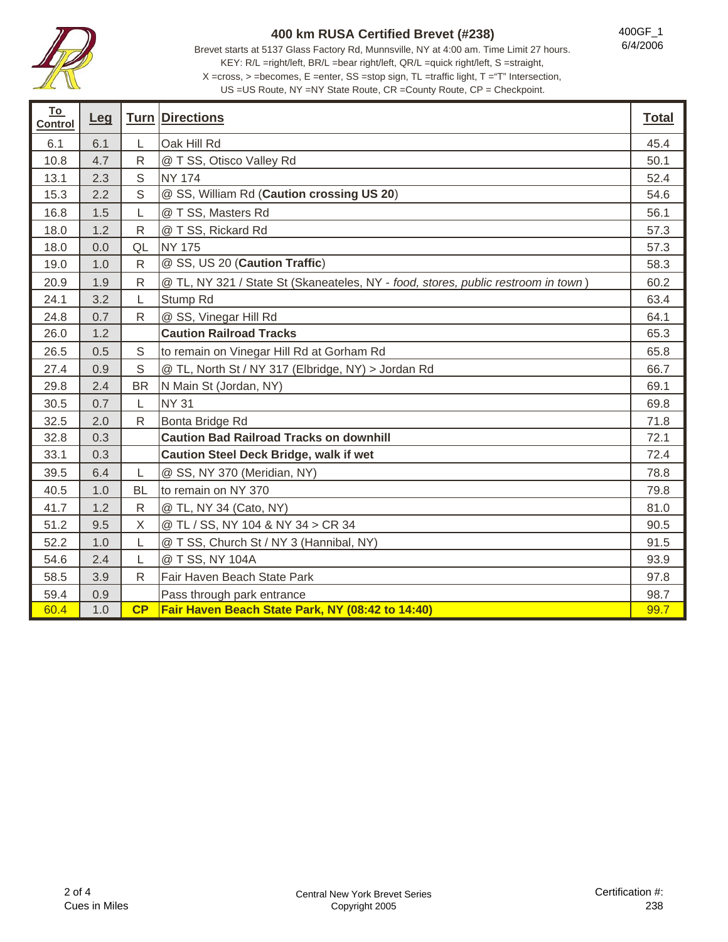

Brevet starts at 5137 Glass Factory Rd, Munnsville, NY at 4:00 am. Time Limit 27 hours. KEY: R/L =right/left, BR/L =bear right/left, QR/L =quick right/left, S =straight, X =cross, > =becomes, E =enter, SS =stop sign, TL =traffic light, T ="T" Intersection,

400GF\_1 6/4/2006

US =US Route, NY =NY State Route, CR =County Route, CP = Checkpoint.

| <u>To</u><br><b>Control</b> | Leg |              | <b>Turn Directions</b>                                                            | <b>Total</b> |
|-----------------------------|-----|--------------|-----------------------------------------------------------------------------------|--------------|
| 6.1                         | 6.1 | L            | Oak Hill Rd                                                                       | 45.4         |
| 10.8                        | 4.7 | $\mathsf{R}$ | @ T SS, Otisco Valley Rd                                                          | 50.1         |
| 13.1                        | 2.3 | $\mathsf S$  | <b>NY 174</b>                                                                     | 52.4         |
| 15.3                        | 2.2 | S            | @ SS, William Rd (Caution crossing US 20)                                         | 54.6         |
| 16.8                        | 1.5 |              | @ T SS, Masters Rd                                                                | 56.1         |
| 18.0                        | 1.2 | $\mathsf{R}$ | @ T SS, Rickard Rd                                                                | 57.3         |
| 18.0                        | 0.0 | QL           | <b>NY 175</b>                                                                     | 57.3         |
| 19.0                        | 1.0 | $\mathsf{R}$ | @ SS, US 20 (Caution Traffic)                                                     | 58.3         |
| 20.9                        | 1.9 | $\mathsf{R}$ | @ TL, NY 321 / State St (Skaneateles, NY - food, stores, public restroom in town) | 60.2         |
| 24.1                        | 3.2 | $\mathsf{L}$ | Stump Rd                                                                          | 63.4         |
| 24.8                        | 0.7 | $\mathsf{R}$ | @ SS, Vinegar Hill Rd                                                             | 64.1         |
| 26.0                        | 1.2 |              | <b>Caution Railroad Tracks</b>                                                    | 65.3         |
| 26.5                        | 0.5 | S            | to remain on Vinegar Hill Rd at Gorham Rd                                         | 65.8         |
| 27.4                        | 0.9 | S            | @ TL, North St / NY 317 (Elbridge, NY) > Jordan Rd                                | 66.7         |
| 29.8                        | 2.4 | <b>BR</b>    | N Main St (Jordan, NY)                                                            | 69.1         |
| 30.5                        | 0.7 | L            | <b>NY 31</b>                                                                      | 69.8         |
| 32.5                        | 2.0 | $\mathsf{R}$ | Bonta Bridge Rd                                                                   | 71.8         |
| 32.8                        | 0.3 |              | <b>Caution Bad Railroad Tracks on downhill</b>                                    | 72.1         |
| 33.1                        | 0.3 |              | <b>Caution Steel Deck Bridge, walk if wet</b>                                     | 72.4         |
| 39.5                        | 6.4 | L            | @ SS, NY 370 (Meridian, NY)                                                       | 78.8         |
| 40.5                        | 1.0 | <b>BL</b>    | to remain on NY 370                                                               | 79.8         |
| 41.7                        | 1.2 | $\mathsf{R}$ | @ TL, NY 34 (Cato, NY)                                                            | 81.0         |
| 51.2                        | 9.5 | Χ            | @ TL / SS, NY 104 & NY 34 > CR 34                                                 | 90.5         |
| 52.2                        | 1.0 | L            | @ T SS, Church St / NY 3 (Hannibal, NY)                                           | 91.5         |
| 54.6                        | 2.4 | L            | @ T SS, NY 104A                                                                   | 93.9         |
| 58.5                        | 3.9 | R            | Fair Haven Beach State Park                                                       | 97.8         |
| 59.4                        | 0.9 |              | Pass through park entrance                                                        | 98.7         |
| 60.4                        | 1.0 | CP           | Fair Haven Beach State Park, NY (08:42 to 14:40)                                  | 99.7         |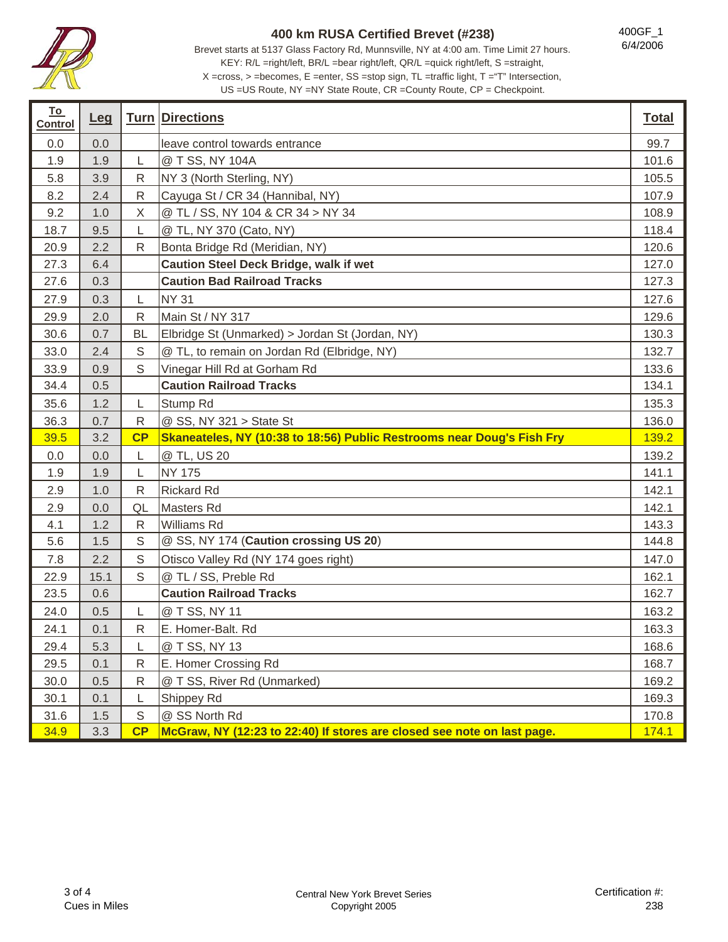

400GF\_1 6/4/2006

ī

Brevet starts at 5137 Glass Factory Rd, Munnsville, NY at 4:00 am. Time Limit 27 hours. KEY: R/L =right/left, BR/L =bear right/left, QR/L =quick right/left, S =straight, X =cross, > =becomes, E =enter, SS =stop sign, TL =traffic light, T ="T" Intersection,

US =US Route, NY =NY State Route, CR =County Route, CP = Checkpoint.

| <u>To</u><br><b>Control</b> | Leg  |              | <b>Turn Directions</b>                                                  | <b>Total</b> |
|-----------------------------|------|--------------|-------------------------------------------------------------------------|--------------|
| 0.0                         | 0.0  |              | leave control towards entrance                                          | 99.7         |
| 1.9                         | 1.9  | L            | @ T SS, NY 104A                                                         | 101.6        |
| 5.8                         | 3.9  | $\mathsf{R}$ | NY 3 (North Sterling, NY)                                               | 105.5        |
| 8.2                         | 2.4  | R            | Cayuga St / CR 34 (Hannibal, NY)                                        | 107.9        |
| 9.2                         | 1.0  | X            | @ TL / SS, NY 104 & CR 34 > NY 34                                       | 108.9        |
| 18.7                        | 9.5  | L            | @ TL, NY 370 (Cato, NY)                                                 | 118.4        |
| 20.9                        | 2.2  | $\mathsf{R}$ | Bonta Bridge Rd (Meridian, NY)                                          | 120.6        |
| 27.3                        | 6.4  |              | <b>Caution Steel Deck Bridge, walk if wet</b>                           | 127.0        |
| 27.6                        | 0.3  |              | <b>Caution Bad Railroad Tracks</b>                                      | 127.3        |
| 27.9                        | 0.3  | $\mathsf{L}$ | <b>NY 31</b>                                                            | 127.6        |
| 29.9                        | 2.0  | $\mathsf{R}$ | Main St / NY 317                                                        | 129.6        |
| 30.6                        | 0.7  | <b>BL</b>    | Elbridge St (Unmarked) > Jordan St (Jordan, NY)                         | 130.3        |
| 33.0                        | 2.4  | S            | @ TL, to remain on Jordan Rd (Elbridge, NY)                             | 132.7        |
| 33.9                        | 0.9  | $\mathbb S$  | Vinegar Hill Rd at Gorham Rd                                            | 133.6        |
| 34.4                        | 0.5  |              | <b>Caution Railroad Tracks</b>                                          | 134.1        |
| 35.6                        | 1.2  | L            | Stump Rd                                                                | 135.3        |
| 36.3                        | 0.7  | $\mathsf{R}$ | @ SS, NY 321 > State St                                                 | 136.0        |
| 39.5                        | 3.2  | CP           | Skaneateles, NY (10:38 to 18:56) Public Restrooms near Doug's Fish Fry  | 139.2        |
| 0.0                         | 0.0  | L            | @ TL, US 20                                                             | 139.2        |
| 1.9                         | 1.9  | L            | <b>NY 175</b>                                                           | 141.1        |
| 2.9                         | 1.0  | $\mathsf{R}$ | <b>Rickard Rd</b>                                                       | 142.1        |
| 2.9                         | 0.0  | QL           | Masters Rd                                                              | 142.1        |
| 4.1                         | 1.2  | ${\sf R}$    | Williams Rd                                                             | 143.3        |
| 5.6                         | 1.5  | S            | @ SS, NY 174 (Caution crossing US 20)                                   | 144.8        |
| 7.8                         | 2.2  | $\mathbb S$  | Otisco Valley Rd (NY 174 goes right)                                    | 147.0        |
| 22.9                        | 15.1 | S            | @ TL / SS, Preble Rd                                                    | 162.1        |
| 23.5                        | 0.6  |              | <b>Caution Railroad Tracks</b>                                          | 162.7        |
| 24.0                        | 0.5  | L            | @ T SS, NY 11                                                           | 163.2        |
| 24.1                        | 0.1  | $\mathsf{R}$ | E. Homer-Balt. Rd                                                       | 163.3        |
| 29.4                        | 5.3  | L            | @ T SS, NY 13                                                           | 168.6        |
| 29.5                        | 0.1  | ${\sf R}$    | E. Homer Crossing Rd                                                    | 168.7        |
| 30.0                        | 0.5  | R            | @ T SS, River Rd (Unmarked)                                             | 169.2        |
| 30.1                        | 0.1  | L            | Shippey Rd                                                              | 169.3        |
| 31.6                        | 1.5  | $\mathbb S$  | @ SS North Rd                                                           | 170.8        |
| 34.9                        | 3.3  | CP           | McGraw, NY (12:23 to 22:40) If stores are closed see note on last page. | 174.1        |